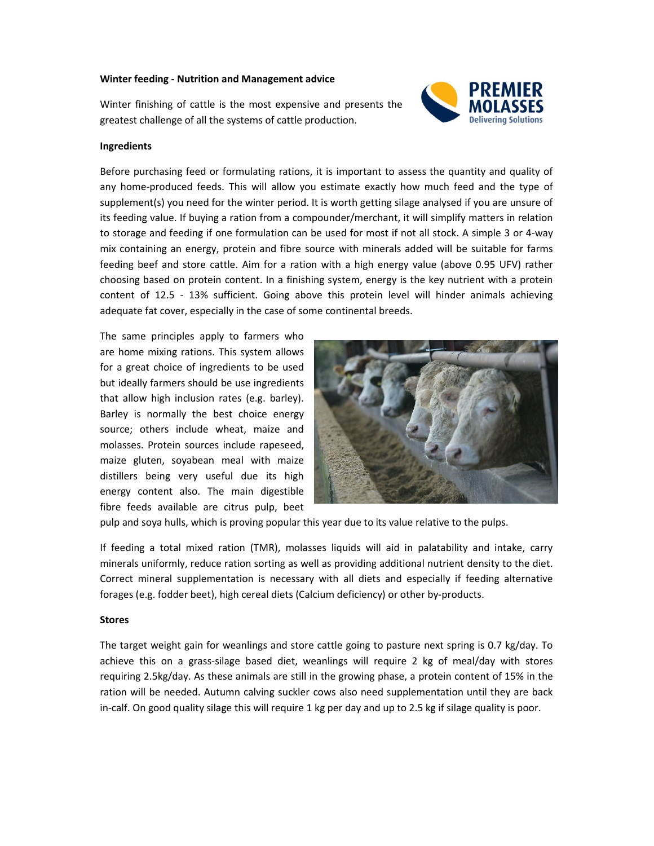### **Winter feeding - Nutrition and Management advice**

Winter finishing of cattle is the most expensive and presents the greatest challenge of all the systems of cattle production.



### **Ingredients**

Before purchasing feed or formulating rations, it is important to assess the quantity and quality of any home-produced feeds. This will allow you estimate exactly how much feed and the type of supplement(s) you need for the winter period. It is worth getting silage analysed if you are unsure of its feeding value. If buying a ration from a compounder/merchant, it will simplify matters in relation to storage and feeding if one formulation can be used for most if not all stock. A simple 3 or 4-way mix containing an energy, protein and fibre source with minerals added will be suitable for farms feeding beef and store cattle. Aim for a ration with a high energy value (above 0.95 UFV) rather choosing based on protein content. In a finishing system, energy is the key nutrient with a protein content of 12.5 - 13% sufficient. Going above this protein level will hinder animals achieving adequate fat cover, especially in the case of some continental breeds.

The same principles apply to farmers who are home mixing rations. This system allows for a great choice of ingredients to be used but ideally farmers should be use ingredients that allow high inclusion rates (e.g. barley). Barley is normally the best choice energy source; others include wheat, maize and molasses. Protein sources include rapeseed, maize gluten, soyabean meal with maize distillers being very useful due its high energy content also. The main digestible fibre feeds available are citrus pulp, beet



pulp and soya hulls, which is proving popular this year due to its value relative to the pulps.

If feeding a total mixed ration (TMR), molasses liquids will aid in palatability and intake, carry minerals uniformly, reduce ration sorting as well as providing additional nutrient density to the diet. Correct mineral supplementation is necessary with all diets and especially if feeding alternative forages (e.g. fodder beet), high cereal diets (Calcium deficiency) or other by-products.

#### **Stores**

The target weight gain for weanlings and store cattle going to pasture next spring is 0.7 kg/day. To achieve this on a grass-silage based diet, weanlings will require 2 kg of meal/day with stores requiring 2.5kg/day. As these animals are still in the growing phase, a protein content of 15% in the ration will be needed. Autumn calving suckler cows also need supplementation until they are back in-calf. On good quality silage this will require 1 kg per day and up to 2.5 kg if silage quality is poor.